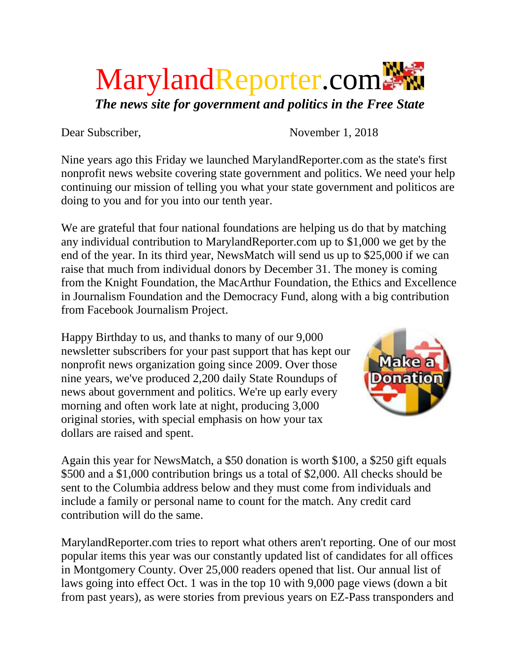## MarylandReporter.com *The news site for government and politics in the Free State*

Dear Subscriber, November 1, 2018

Nine years ago this Friday we launched MarylandReporter.com as the state's first nonprofit news website covering state government and politics. We need your help continuing our mission of telling you what your state government and politicos are doing to you and for you into our tenth year.

We are grateful that four national foundations are helping us do that by matching any individual contribution to MarylandReporter.com up to \$1,000 we get by the end of the year. In its third year, NewsMatch will send us up to \$25,000 if we can raise that much from individual donors by December 31. The money is coming from the Knight Foundation, the MacArthur Foundation, the Ethics and Excellence in Journalism Foundation and the Democracy Fund, along with a big contribution from Facebook Journalism Project.

Happy Birthday to us, and thanks to many of our 9,000 newsletter subscribers for your past support that has kept our nonprofit news organization going since 2009. Over those nine years, we've produced 2,200 daily State Roundups of news about government and politics. We're up early every morning and often work late at night, producing 3,000 original stories, with special emphasis on how your tax dollars are raised and spent.



Again this year for NewsMatch, a \$50 donation is worth \$100, a \$250 gift equals \$500 and a \$1,000 contribution brings us a total of \$2,000. All checks should be sent to the Columbia address below and they must come from individuals and include a family or personal name to count for the match. Any credit card contribution will do the same.

MarylandReporter.com tries to report what others aren't reporting. One of our most popular items this year was our constantly updated list of candidates for all offices in Montgomery County. Over 25,000 readers opened that list. Our annual list of laws going into effect Oct. 1 was in the top 10 with 9,000 page views (down a bit from past years), as were stories from previous years on EZ-Pass transponders and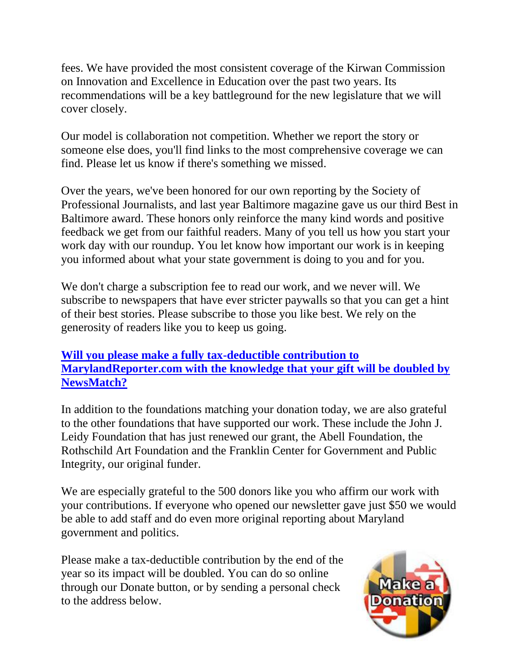fees. We have provided the most consistent coverage of the Kirwan Commission on Innovation and Excellence in Education over the past two years. Its recommendations will be a key battleground for the new legislature that we will cover closely.

Our model is collaboration not competition. Whether we report the story or someone else does, you'll find links to the most comprehensive coverage we can find. Please let us know if there's something we missed.

Over the years, we've been honored for our own reporting by the Society of Professional Journalists, and last year Baltimore magazine gave us our third Best in Baltimore award. These honors only reinforce the many kind words and positive feedback we get from our faithful readers. Many of you tell us how you start your work day with our roundup. You let know how important our work is in keeping you informed about what your state government is doing to you and for you.

We don't charge a subscription fee to read our work, and we never will. We subscribe to newspapers that have ever stricter paywalls so that you can get a hint of their best stories. Please subscribe to those you like best. We rely on the generosity of readers like you to keep us going.

## **[Will you please make a fully tax-deductible contribution to](https://www.paypal.com/cgi-bin/webscr?cmd=_s-xclick&hosted_button_id=2H6BQL98T8GN2)  [MarylandReporter.com with the knowledge that your gift will be doubled by](https://www.paypal.com/cgi-bin/webscr?cmd=_s-xclick&hosted_button_id=2H6BQL98T8GN2)  [NewsMatch?](https://www.paypal.com/cgi-bin/webscr?cmd=_s-xclick&hosted_button_id=2H6BQL98T8GN2)**

In addition to the foundations matching your donation today, we are also grateful to the other foundations that have supported our work. These include the John J. Leidy Foundation that has just renewed our grant, the Abell Foundation, the Rothschild Art Foundation and the Franklin Center for Government and Public Integrity, our original funder.

We are especially grateful to the 500 donors like you who affirm our work with your contributions. If everyone who opened our newsletter gave just \$50 we would be able to add staff and do even more original reporting about Maryland government and politics.

Please make a tax-deductible contribution by the end of the year so its impact will be doubled. You can do so online through our Donate button, or by sending a personal check to the address below.